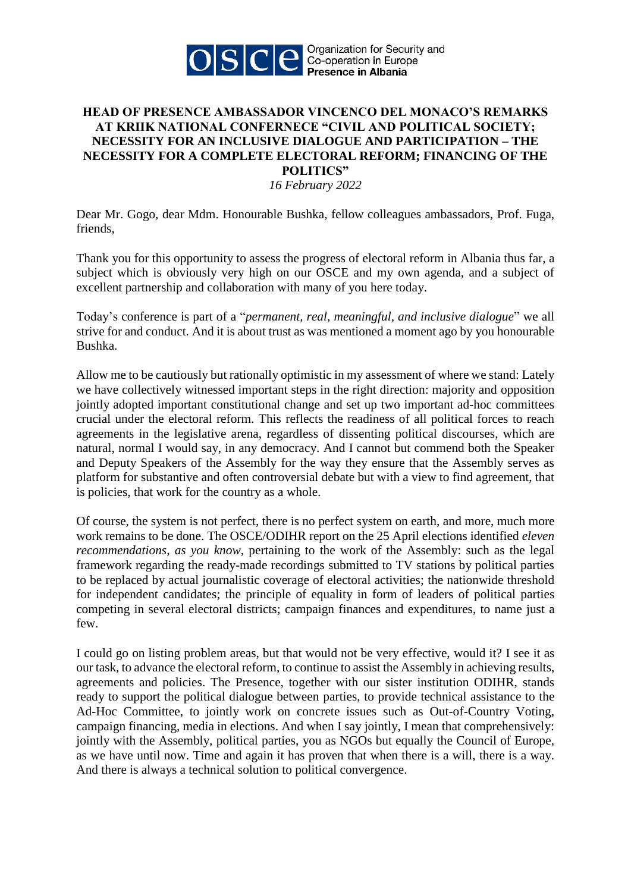

## **HEAD OF PRESENCE AMBASSADOR VINCENCO DEL MONACO'S REMARKS AT KRIIK NATIONAL CONFERNECE "CIVIL AND POLITICAL SOCIETY; NECESSITY FOR AN INCLUSIVE DIALOGUE AND PARTICIPATION – THE NECESSITY FOR A COMPLETE ELECTORAL REFORM; FINANCING OF THE POLITICS"**

*16 February 2022*

Dear Mr. Gogo, dear Mdm. Honourable Bushka, fellow colleagues ambassadors, Prof. Fuga, friends,

Thank you for this opportunity to assess the progress of electoral reform in Albania thus far, a subject which is obviously very high on our OSCE and my own agenda, and a subject of excellent partnership and collaboration with many of you here today.

Today's conference is part of a "*permanent, real, meaningful, and inclusive dialogue*" we all strive for and conduct. And it is about trust as was mentioned a moment ago by you honourable Bushka.

Allow me to be cautiously but rationally optimistic in my assessment of where we stand: Lately we have collectively witnessed important steps in the right direction: majority and opposition jointly adopted important constitutional change and set up two important ad-hoc committees crucial under the electoral reform. This reflects the readiness of all political forces to reach agreements in the legislative arena, regardless of dissenting political discourses, which are natural, normal I would say, in any democracy. And I cannot but commend both the Speaker and Deputy Speakers of the Assembly for the way they ensure that the Assembly serves as platform for substantive and often controversial debate but with a view to find agreement, that is policies, that work for the country as a whole.

Of course, the system is not perfect, there is no perfect system on earth, and more, much more work remains to be done. The OSCE/ODIHR report on the 25 April elections identified *eleven recommendations, as you know,* pertaining to the work of the Assembly: such as the legal framework regarding the ready-made recordings submitted to TV stations by political parties to be replaced by actual journalistic coverage of electoral activities; the nationwide threshold for independent candidates; the principle of equality in form of leaders of political parties competing in several electoral districts; campaign finances and expenditures, to name just a few.

I could go on listing problem areas, but that would not be very effective, would it? I see it as our task, to advance the electoral reform, to continue to assist the Assembly in achieving results, agreements and policies. The Presence, together with our sister institution ODIHR, stands ready to support the political dialogue between parties, to provide technical assistance to the Ad-Hoc Committee, to jointly work on concrete issues such as Out-of-Country Voting, campaign financing, media in elections. And when I say jointly, I mean that comprehensively: jointly with the Assembly, political parties, you as NGOs but equally the Council of Europe, as we have until now. Time and again it has proven that when there is a will, there is a way. And there is always a technical solution to political convergence.